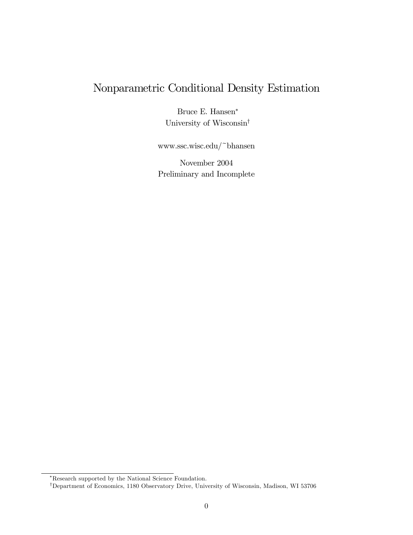# Nonparametric Conditional Density Estimation

Bruce E. Hansen<sup>∗</sup> University of Wisconsin†

www.ssc.wisc.edu/~bhansen

November 2004 Preliminary and Incomplete

<sup>∗</sup>Research supported by the National Science Foundation.

<sup>†</sup>Department of Economics, 1180 Observatory Drive, University of Wisconsin, Madison, WI 53706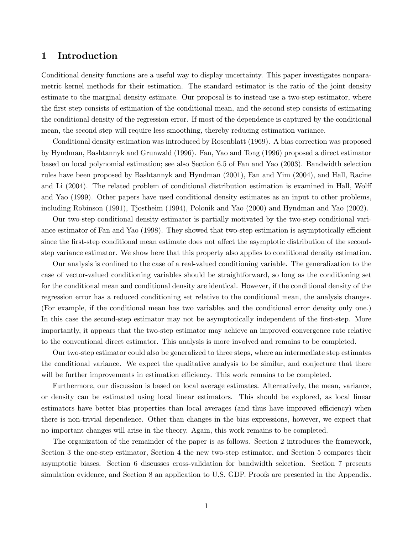#### 1 Introduction

Conditional density functions are a useful way to display uncertainty. This paper investigates nonparametric kernel methods for their estimation. The standard estimator is the ratio of the joint density estimate to the marginal density estimate. Our proposal is to instead use a two-step estimator, where the first step consists of estimation of the conditional mean, and the second step consists of estimating the conditional density of the regression error. If most of the dependence is captured by the conditional mean, the second step will require less smoothing, thereby reducing estimation variance.

Conditional density estimation was introduced by Rosenblatt (1969). A bias correction was proposed by Hyndman, Bashtannyk and Grunwald (1996). Fan, Yao and Tong (1996) proposed a direct estimator based on local polynomial estimation; see also Section 6.5 of Fan and Yao (2003). Bandwidth selection rules have been proposed by Bashtannyk and Hyndman (2001), Fan and Yim (2004), and Hall, Racine and Li (2004). The related problem of conditional distribution estimation is examined in Hall, Wolff and Yao (1999). Other papers have used conditional density estimates as an input to other problems, including Robinson (1991), Tjostheim (1994), Polonik and Yao (2000) and Hyndman and Yao (2002).

Our two-step conditional density estimator is partially motivated by the two-step conditional variance estimator of Fan and Yao (1998). They showed that two-step estimation is asymptotically efficient since the first-step conditional mean estimate does not affect the asymptotic distribution of the secondstep variance estimator. We show here that this property also applies to conditional density estimation.

Our analysis is confined to the case of a real-valued conditioning variable. The generalization to the case of vector-valued conditioning variables should be straightforward, so long as the conditioning set for the conditional mean and conditional density are identical. However, if the conditional density of the regression error has a reduced conditioning set relative to the conditional mean, the analysis changes. (For example, if the conditional mean has two variables and the conditional error density only one.) In this case the second-step estimator may not be asymptotically independent of the first-step. More importantly, it appears that the two-step estimator may achieve an improved convergence rate relative to the conventional direct estimator. This analysis is more involved and remains to be completed.

Our two-step estimator could also be generalized to three steps, where an intermediate step estimates the conditional variance. We expect the qualitative analysis to be similar, and conjecture that there will be further improvements in estimation efficiency. This work remains to be completed.

Furthermore, our discussion is based on local average estimates. Alternatively, the mean, variance, or density can be estimated using local linear estimators. This should be explored, as local linear estimators have better bias properties than local averages (and thus have improved efficiency) when there is non-trivial dependence. Other than changes in the bias expressions, however, we expect that no important changes will arise in the theory. Again, this work remains to be completed.

The organization of the remainder of the paper is as follows. Section 2 introduces the framework, Section 3 the one-step estimator, Section 4 the new two-step estimator, and Section 5 compares their asymptotic biases. Section 6 discusses cross-validation for bandwidth selection. Section 7 presents simulation evidence, and Section 8 an application to U.S. GDP. Proofs are presented in the Appendix.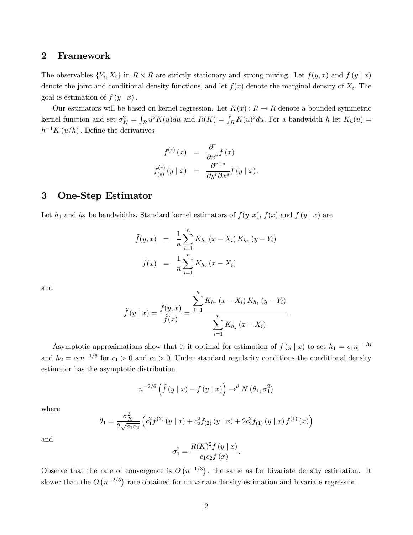#### 2 Framework

The observables  $\{Y_i, X_i\}$  in  $R \times R$  are strictly stationary and strong mixing. Let  $f(y, x)$  and  $f(y | x)$ denote the joint and conditional density functions, and let  $f(x)$  denote the marginal density of  $X_i$ . The goal is estimation of  $f(y | x)$ .

Our estimators will be based on kernel regression. Let  $K(x): R \to R$  denote a bounded symmetric kernel function and set  $\sigma_K^2 = \int_R u^2 K(u) du$  and  $R(K) = \int_R K(u)^2 du$ . For a bandwidth h let  $K_h(u) =$  $h^{-1}K(u/h)$ . Define the derivatives

$$
f^{(r)}(x) = \frac{\partial^r}{\partial x^r} f(x)
$$
  

$$
f_{(s)}^{(r)}(y \mid x) = \frac{\partial^{r+s}}{\partial y^r \partial x^s} f(y \mid x).
$$

#### 3 One-Step Estimator

Let  $h_1$  and  $h_2$  be bandwidths. Standard kernel estimators of  $f(y, x)$ ,  $f(x)$  and  $f(y | x)$  are

$$
\tilde{f}(y,x) = \frac{1}{n} \sum_{i=1}^{n} K_{h_2} (x - X_i) K_{h_1} (y - Y_i)
$$

$$
\tilde{f}(x) = \frac{1}{n} \sum_{i=1}^{n} K_{h_2} (x - X_i)
$$

and

$$
\tilde{f}(y \mid x) = \frac{\tilde{f}(y, x)}{\tilde{f}(x)} = \frac{\sum_{i=1}^{n} K_{h_2} (x - X_i) K_{h_1} (y - Y_i)}{\sum_{i=1}^{n} K_{h_2} (x - X_i)}
$$

.

Asymptotic approximations show that it it optimal for estimation of  $f(y | x)$  to set  $h_1 = c_1 n^{-1/6}$ and  $h_2 = c_2 n^{-1/6}$  for  $c_1 > 0$  and  $c_2 > 0$ . Under standard regularity conditions the conditional density estimator has the asymptotic distribution

$$
n^{-2/6} \left( \tilde{f}\left(y \mid x\right) - f\left(y \mid x\right) \right) \rightarrow^{d} N\left(\theta_1, \sigma_1^2\right)
$$

where

$$
\theta_1 = \frac{\sigma_K^2}{2\sqrt{c_1 c_2}} \left( c_1^2 f^{(2)}(y \mid x) + c_2^2 f_{(2)}(y \mid x) + 2c_2^2 f_{(1)}(y \mid x) f^{(1)}(x) \right)
$$

and

$$
\sigma_1^2 = \frac{R(K)^2 f(y \mid x)}{c_1 c_2 f(x)}.
$$

Observe that the rate of convergence is  $O(n^{-1/3})$ , the same as for bivariate density estimation. It slower than the  $O(n^{-2/5})$  rate obtained for univariate density estimation and bivariate regression.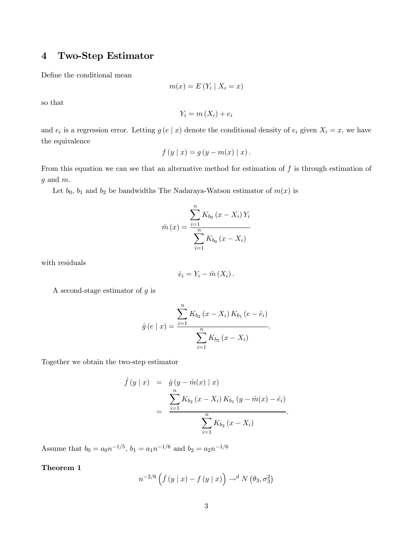## 4 Two-Step Estimator

Define the conditional mean

$$
m(x) = E(Y_i \mid X_i = x)
$$

so that

$$
Y_i = m(X_i) + e_i
$$

and  $e_i$  is a regression error. Letting  $g(e | x)$  denote the conditional density of  $e_i$  given  $X_i = x$ , we have the equivalence

$$
f(y | x) = g(y - m(x) | x).
$$

From this equation we can see that an alternative method for estimation of  $f$  is through estimation of  $g$  and  $m$ .

Let  $b_0$ ,  $b_1$  and  $b_2$  be bandwidths The Nadaraya-Watson estimator of  $m(x)$  is

$$
\hat{m}(x) = \frac{\sum_{i=1}^{n} K_{b_0} (x - X_i) Y_i}{\sum_{i=1}^{n} K_{b_0} (x - X_i)}
$$

with residuals

$$
\hat{e}_i = Y_i - \hat{m}(X_i).
$$

A second-stage estimator of  $g$  is

$$
\hat{g}(e \mid x) = \frac{\sum_{i=1}^{n} K_{b_2} (x - X_i) K_{b_1} (e - \hat{e}_i)}{\sum_{i=1}^{n} K_{b_2} (x - X_i)}.
$$

Together we obtain the two-step estimator

$$
\hat{f}(y \mid x) = \hat{g}(y - \hat{m}(x) \mid x) \n= \frac{\sum_{i=1}^{n} K_{b_2} (x - X_i) K_{b_1} (y - \hat{m}(x) - \hat{e}_i)}{\sum_{i=1}^{n} K_{b_2} (x - X_i)}.
$$

Assume that  $b_0 = a_0 n^{-1/5}$ ,  $b_1 = a_1 n^{-1/6}$  and  $b_2 = a_2 n^{-1/6}$ 

#### Theorem 1

$$
n^{-2/6} \left( \hat{f}(y \mid x) - f(y \mid x) \right) \rightarrow^{d} N \left( \theta_3, \sigma_3^2 \right)
$$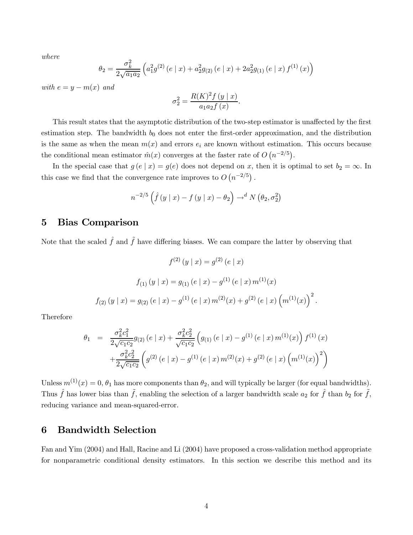where

$$
\theta_2 = \frac{\sigma_k^2}{2\sqrt{a_1 a_2}} \left( a_1^2 g^{(2)}\left(e \mid x\right) + a_2^2 g_{(2)}\left(e \mid x\right) + 2a_2^2 g_{(1)}\left(e \mid x\right) f^{(1)}\left(x\right) \right)
$$

with  $e = y - m(x)$  and

$$
\sigma_2^2 = \frac{R(K)^2 f(y \mid x)}{a_1 a_2 f(x)}.
$$

This result states that the asymptotic distribution of the two-step estimator is unaffected by the first estimation step. The bandwidth  $b_0$  does not enter the first-order approximation, and the distribution is the same as when the mean  $m(x)$  and errors  $e_i$  are known without estimation. This occurs because the conditional mean estimator  $\hat{m}(x)$  converges at the faster rate of  $O(n^{-2/5})$ .

In the special case that  $g(e | x) = g(e)$  does not depend on x, then it is optimal to set  $b_2 = \infty$ . In this case we find that the convergence rate improves to  $O(n^{-2/5})$ .

$$
n^{-2/5} \left( \hat{f}(y \mid x) - f(y \mid x) - \theta_2 \right) \to^d N(\theta_2, \sigma_2^2)
$$

## 5 Bias Comparison

Note that the scaled  $\hat{f}$  and  $\tilde{f}$  have differing biases. We can compare the latter by observing that

$$
f^{(2)} (y | x) = g^{(2)} (e | x)
$$
  

$$
f_{(1)} (y | x) = g_{(1)} (e | x) - g^{(1)} (e | x) m^{(1)} (x)
$$
  

$$
f_{(2)} (y | x) = g_{(2)} (e | x) - g^{(1)} (e | x) m^{(2)} (x) + g^{(2)} (e | x) (m^{(1)} (x))^{2}
$$

.

Therefore

$$
\theta_1 = \frac{\sigma_k^2 c_1^2}{2\sqrt{c_1 c_2}} g_{(2)}(e \mid x) + \frac{\sigma_k^2 c_2^2}{\sqrt{c_1 c_2}} \left( g_{(1)}(e \mid x) - g^{(1)}(e \mid x) m^{(1)}(x) \right) f^{(1)}(x) + \frac{\sigma_k^2 c_2^2}{2\sqrt{c_1 c_2}} \left( g^{(2)}(e \mid x) - g^{(1)}(e \mid x) m^{(2)}(x) + g^{(2)}(e \mid x) \left( m^{(1)}(x) \right)^2 \right)
$$

Unless  $m^{(1)}(x)=0, \theta_1$  has more components than  $\theta_2$ , and will typically be larger (for equal bandwidths). Thus  $\hat{f}$  has lower bias than  $\tilde{f}$ , enabling the selection of a larger bandwidth scale  $a_2$  for  $\hat{f}$ , than  $b_2$  for  $\tilde{f}$ , reducing variance and mean-squared-error.

#### 6 Bandwidth Selection

Fan and Yim (2004) and Hall, Racine and Li (2004) have proposed a cross-validation method appropriate for nonparametric conditional density estimators. In this section we describe this method and its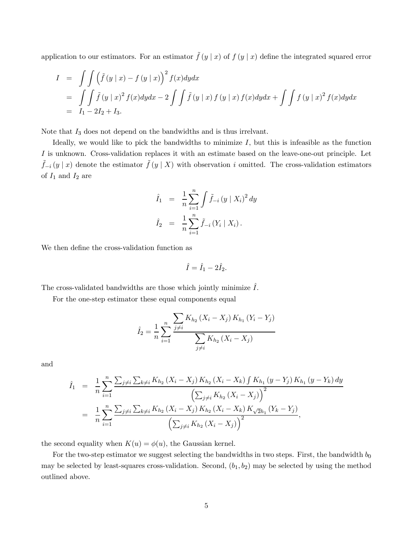application to our estimators. For an estimator  $\tilde{f}(y | x)$  of  $f (y | x)$  define the integrated squared error

$$
I = \int \int (\tilde{f}(y | x) - f (y | x))^{2} f(x) dy dx
$$
  
= 
$$
\int \int \tilde{f}(y | x)^{2} f(x) dy dx - 2 \int \int \tilde{f}(y | x) f(y | x) f(x) dy dx + \int \int f (y | x)^{2} f(x) dy dx
$$
  
=  $I_{1} - 2I_{2} + I_{3}.$ 

Note that  $I_3$  does not depend on the bandwidths and is thus irrely and.

Ideally, we would like to pick the bandwidths to minimize  $I$ , but this is infeasible as the function I is unknown. Cross-validation replaces it with an estimate based on the leave-one-out principle. Let  $\tilde{f}_{-i}(y | x)$  denote the estimator  $\tilde{f}(y | X)$  with observation i omitted. The cross-validation estimators of  $\mathcal{I}_1$  and  $\mathcal{I}_2$  are

$$
\hat{I}_1 = \frac{1}{n} \sum_{i=1}^n \int \tilde{f}_{-i} (y \mid X_i)^2 dy
$$
  

$$
\hat{I}_2 = \frac{1}{n} \sum_{i=1}^n \tilde{f}_{-i} (Y_i \mid X_i).
$$

We then define the cross-validation function as

$$
\hat{I} = \hat{I}_1 - 2\hat{I}_2.
$$

The cross-validated bandwidths are those which jointly minimize  $\tilde{I}$ .

For the one-step estimator these equal components equal

$$
\hat{I}_2 = \frac{1}{n} \sum_{i=1}^n \frac{\sum_{j \neq i} K_{h_2} (X_i - X_j) K_{h_1} (Y_i - Y_j)}{\sum_{j \neq i} K_{h_2} (X_i - X_j)}
$$

and

$$
\hat{I}_1 = \frac{1}{n} \sum_{i=1}^n \frac{\sum_{j \neq i} \sum_{k \neq i} K_{h_2} (X_i - X_j) K_{h_2} (X_i - X_k) \int K_{h_1} (y - Y_j) K_{h_1} (y - Y_k) dy}{\left(\sum_{j \neq i} K_{h_2} (X_i - X_j)\right)^2}
$$
\n
$$
= \frac{1}{n} \sum_{i=1}^n \frac{\sum_{j \neq i} \sum_{k \neq i} K_{h_2} (X_i - X_j) K_{h_2} (X_i - X_k) K_{\sqrt{2}h_1} (Y_k - Y_j)}{\left(\sum_{j \neq i} K_{h_2} (X_i - X_j)\right)^2},
$$

the second equality when  $K(u) = \phi(u)$ , the Gaussian kernel.

For the two-step estimator we suggest selecting the bandwidths in two steps. First, the bandwidth  $b_0$ may be selected by least-squares cross-validation. Second,  $(b_1, b_2)$  may be selected by using the method outlined above.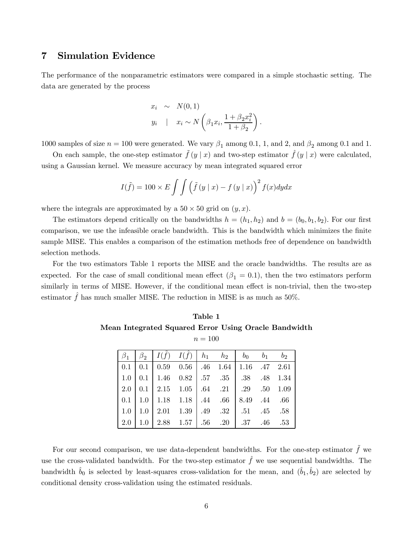### 7 Simulation Evidence

The performance of the nonparametric estimators were compared in a simple stochastic setting. The data are generated by the process

$$
x_i \sim N(0, 1)
$$
  

$$
y_i \mid x_i \sim N\left(\beta_1 x_i, \frac{1+\beta_2 x_i^2}{1+\beta_2}\right).
$$

1000 samples of size  $n = 100$  were generated. We vary  $\beta_1$  among 0.1, 1, and 2, and  $\beta_2$  among 0.1 and 1.

On each sample, the one-step estimator  $\tilde{f}(y | x)$  and two-step estimator  $\hat{f}(y | x)$  were calculated, using a Gaussian kernel. We measure accuracy by mean integrated squared error

$$
I(\tilde{f}) = 100 \times E \int \int (\tilde{f}(y \mid x) - f(y \mid x))^{2} f(x) dy dx
$$

where the integrals are approximated by a  $50 \times 50$  grid on  $(y, x)$ .

The estimators depend critically on the bandwidths  $h = (h_1, h_2)$  and  $b = (b_0, b_1, b_2)$ . For our first comparison, we use the infeasible oracle bandwidth. This is the bandwidth which minimizes the finite sample MISE. This enables a comparison of the estimation methods free of dependence on bandwidth selection methods.

For the two estimators Table 1 reports the MISE and the oracle bandwidths. The results are as expected. For the case of small conditional mean effect  $(\beta_1 = 0.1)$ , then the two estimators perform similarly in terms of MISE. However, if the conditional mean effect is non-trivial, then the two-step estimator  $\hat{f}$  has much smaller MISE. The reduction in MISE is as much as 50%.

Table 1 Mean Integrated Squared Error Using Oracle Bandwidth  $n = 100$ 

| $u = 100$ |             |                                                                                        |  |  |  |  |       |       |  |  |  |  |  |
|-----------|-------------|----------------------------------------------------------------------------------------|--|--|--|--|-------|-------|--|--|--|--|--|
|           | $\beta_2^-$ | $\left  I(f) \right  I(f) \left  h_1 \right  h_2 \left  b_0 \right $                   |  |  |  |  | $b_1$ | $b_2$ |  |  |  |  |  |
|           |             | $0.1 \mid 0.1 \mid 0.59 \quad 0.56 \mid .46 \quad 1.64 \mid 1.16 \quad .47 \quad 2.61$ |  |  |  |  |       |       |  |  |  |  |  |
|           |             | $1.0$   0.1   1.46 0.82   .57 .35   .38 .48 1.34                                       |  |  |  |  |       |       |  |  |  |  |  |
| $2.0\,$   |             |                                                                                        |  |  |  |  |       |       |  |  |  |  |  |
|           |             | $0.1$   1.0   1.18   1.18   1.44 0.66   8.49 1.44 0.66                                 |  |  |  |  |       |       |  |  |  |  |  |
| $1.0\,$   |             | $\mid 1.0 \mid 2.01 \mid 1.39 \mid .49 \mid .32 \mid .51 \mid .45 \mid .58$            |  |  |  |  |       |       |  |  |  |  |  |
| 2.0       | $1.0\,$     | 2.88 $1.57$   $.56$ $.20$   $.37$                                                      |  |  |  |  | .46   | .53   |  |  |  |  |  |

For our second comparison, we use data-dependent bandwidths. For the one-step estimator  $\tilde{f}$  we use the cross-validated bandwidth. For the two-step estimator  $\hat{f}$  we use sequential bandwidths. The bandwidth  $\hat{b}_0$  is selected by least-squares cross-validation for the mean, and  $(\hat{b}_1, \hat{b}_2)$  are selected by conditional density cross-validation using the estimated residuals.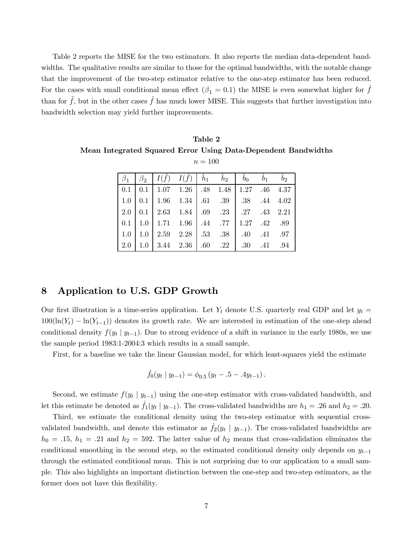Table 2 reports the MISE for the two estimators. It also reports the median data-dependent bandwidths. The qualitative results are similar to those for the optimal bandwidths, with the notable change that the improvement of the two-step estimator relative to the one-step estimator has been reduced. For the cases with small conditional mean effect  $(\beta_1 = 0.1)$  the MISE is even somewhat higher for f than for  $f$ , but in the other cases  $\hat{f}$  has much lower MISE. This suggests that further investigation into bandwidth selection may yield further improvements.

Table 2 Mean Integrated Squared Error Using Data-Dependent Bandwidths  $n = 100$ 

|         |  | $\beta_1 \left  \begin{array}{cc} \beta_2 \end{array} \right  I(\tilde{f}) - I(\hat{f}) \left  \begin{array}{cc} \hat{h}_1 & \hat{h}_2 \end{array} \right  \left  \begin{array}{cc} \hat{b}_0 & \hat{b}_1 \end{array} \right $ |  |  |  |
|---------|--|--------------------------------------------------------------------------------------------------------------------------------------------------------------------------------------------------------------------------------|--|--|--|
|         |  | $0.1 \mid 0.1 \mid 1.07 \quad 1.26 \mid .48 \quad 1.48 \mid 1.27 \quad .46 \quad 4.37$                                                                                                                                         |  |  |  |
|         |  | $1.0$   0.1   1.96 $1.34$   .61   .39   .38   .44   4.02                                                                                                                                                                       |  |  |  |
|         |  | $2.0$   0.1   2.63 1.84   .69 .23   .27 .43 2.21                                                                                                                                                                               |  |  |  |
|         |  |                                                                                                                                                                                                                                |  |  |  |
|         |  | $1.0$   $1.0$   $2.59$ $2.28$   $.53$ $.38$   $.40$ $.41$ $.97$                                                                                                                                                                |  |  |  |
| $2.0\,$ |  | 1.0   3.44   2.36   .60   .22   .30   .41   .94                                                                                                                                                                                |  |  |  |

## 8 Application to U.S. GDP Growth

Our first illustration is a time-series application. Let  $Y_t$  denote U.S. quarterly real GDP and let  $y_t =$  $100(\ln(Y_t) - \ln(Y_{t-1}))$  denotes its growth rate. We are interested in estimation of the one-step ahead conditional density  $f(y_t | y_{t-1})$ . Due to strong evidence of a shift in variance in the early 1980s, we use the sample period 1983:1-2004:3 which results in a small sample.

First, for a baseline we take the linear Gaussian model, for which least-squares yield the estimate

$$
\hat{f}_0(y_t | y_{t-1}) = \phi_{0.5} (y_t - .5 - .4y_{t-1}).
$$

Second, we estimate  $f(y_t | y_{t-1})$  using the one-step estimator with cross-validated bandwidth, and let this estimate be denoted as  $\hat{f}_1(y_t | y_{t-1})$ . The cross-validated bandwidths are  $h_1 = .26$  and  $h_2 = .20$ .

Third, we estimate the conditional density using the two-step estimator with sequential crossvalidated bandwidth, and denote this estimator as  $f_2(y_t | y_{t-1})$ . The cross-validated bandwidths are  $h_0 = .15, h_1 = .21$  and  $h_2 = 592$ . The latter value of  $h_2$  means that cross-validation eliminates the conditional smoothing in the second step, so the estimated conditional density only depends on  $y_{t-1}$ through the estimated conditional mean. This is not surprising due to our application to a small sample. This also highlights an important distinction between the one-step and two-step estimators, as the former does not have this flexibility.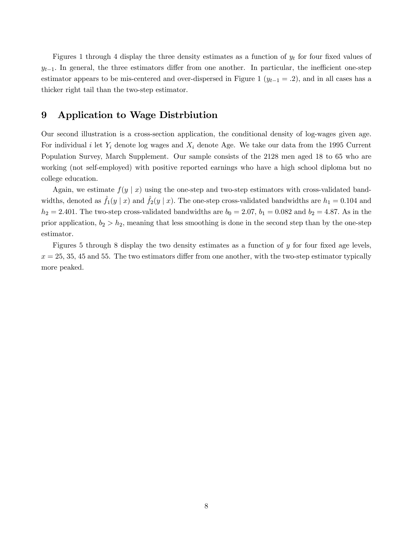Figures 1 through 4 display the three density estimates as a function of  $y_t$  for four fixed values of  $y_{t-1}$ . In general, the three estimators differ from one another. In particular, the inefficient one-step estimator appears to be mis-centered and over-dispersed in Figure 1 ( $y_{t-1} = .2$ ), and in all cases has a thicker right tail than the two-step estimator.

#### 9 Application to Wage Distrbiution

Our second illustration is a cross-section application, the conditional density of log-wages given age. For individual i let  $Y_i$  denote log wages and  $X_i$  denote Age. We take our data from the 1995 Current Population Survey, March Supplement. Our sample consists of the 2128 men aged 18 to 65 who are working (not self-employed) with positive reported earnings who have a high school diploma but no college education.

Again, we estimate  $f(y \mid x)$  using the one-step and two-step estimators with cross-validated bandwidths, denoted as  $\hat{f}_1(y | x)$  and  $\hat{f}_2(y | x)$ . The one-step cross-validated bandwidths are  $h_1 = 0.104$  and  $h_2 = 2.401$ . The two-step cross-validated bandwidths are  $b_0 = 2.07$ ,  $b_1 = 0.082$  and  $b_2 = 4.87$ . As in the prior application,  $b_2 > h_2$ , meaning that less smoothing is done in the second step than by the one-step estimator.

Figures 5 through 8 display the two density estimates as a function of y for four fixed age levels,  $x = 25, 35, 45, 45, 55.$  The two estimators differ from one another, with the two-step estimator typically more peaked.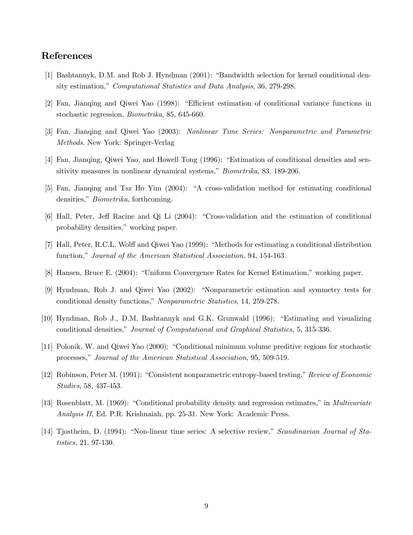## References

- [1] Bashtannyk, D.M. and Rob J. Hyndman (2001): "Bandwidth selection for kernel conditional density estimation," Computational Statistics and Data Analysis, 36, 279-298.
- [2] Fan, Jianqing and Qiwei Yao (1998): "Efficient estimation of conditional variance functions in stochastic regression, Biometrika, 85, 645-660.
- [3] Fan, Jianqing and Qiwei Yao (2003): Nonlinear Time Series: Nonparametric and Parametric Methods. New York: Springer-Verlag
- [4] Fan, Jianqing, Qiwei Yao, and Howell Tong (1996): "Estimation of conditional densities and sensitivity measures in nonlinear dynamical systems," *Biometrika*, 83, 189-206.
- [5] Fan, Jianqing and Tsz Ho Yim (2004): "A cross-validation method for estimating conditional densities," Biometrika, forthcoming.
- [6] Hall, Peter, Jeff Racine and Qi Li (2004): "Cross-validation and the estimation of conditional probability densities," working paper.
- [7] Hall, Peter, R.C.L. Wolff and Qiwei Yao (1999): "Methods for estimating a conditional distribution function," Journal of the American Statistical Association, 94, 154-163.
- [8] Hansen, Bruce E. (2004): "Uniform Convergence Rates for Kernel Estimation," working paper.
- [9] Hyndman, Rob J. and Qiwei Yao (2002): "Nonparametric estimation and symmetry tests for conditional density functions," Nonparametric Statistics, 14, 259-278.
- [10] Hyndman, Rob J., D.M. Bashtannyk and G.K. Grunwald (1996): "Estimating and visualizing conditional densities," Journal of Computational and Graphical Statistics, 5, 315-336.
- [11] Polonik, W. and Qiwei Yao (2000): "Conditional minimum volume preditive regions for stochastic processes," Journal of the American Statistical Association, 95, 509-519.
- [12] Robinson, Peter M. (1991): "Consistent nonparametric entropy-based testing," Review of Economic Studies, 58, 437-453.
- [13] Rosenblatt, M. (1969): "Conditional probability density and regression estimates," in Multivariate Analysis II, Ed. P.R. Krishnaiah, pp. 25-31. New York: Academic Press.
- [14] Tjostheim, D. (1994): "Non-linear time series: A selective review," Scandinavian Journal of Statistics, 21, 97-130.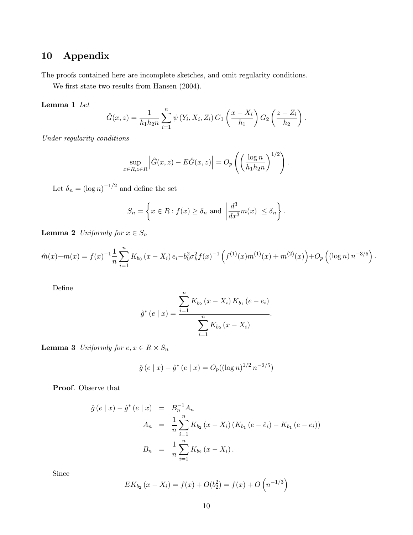# 10 Appendix

The proofs contained here are incomplete sketches, and omit regularity conditions.

We first state two results from Hansen (2004).

#### Lemma 1 Let

$$
\hat{G}(x, z) = \frac{1}{h_1 h_2 n} \sum_{i=1}^n \psi(Y_i, X_i, Z_i) G_1\left(\frac{x - X_i}{h_1}\right) G_2\left(\frac{z - Z_i}{h_2}\right).
$$

Under regularity conditions

$$
\sup_{x \in R, z \in R} \left| \hat{G}(x, z) - E\hat{G}(x, z) \right| = O_p\left( \left( \frac{\log n}{h_1 h_2 n} \right)^{1/2} \right).
$$

Let  $\delta_n = (\log n)^{-1/2}$  and define the set

$$
S_n = \left\{ x \in R : f(x) \ge \delta_n \text{ and } \left| \frac{d^3}{dx^3} m(x) \right| \le \delta_n \right\}.
$$

**Lemma 2** Uniformly for  $x \in S_n$ 

$$
\hat{m}(x) - m(x) = f(x)^{-1} \frac{1}{n} \sum_{i=1}^{n} K_{b_0} (x - X_i) e_i - b_0^2 \sigma_k^2 f(x)^{-1} \left( f^{(1)}(x) m^{(1)}(x) + m^{(2)}(x) \right) + O_p \left( (\log n) n^{-3/5} \right).
$$

Define

$$
\hat{g}^*(e \mid x) = \frac{\sum_{i=1}^n K_{b_2} (x - X_i) K_{b_1} (e - e_i)}{\sum_{i=1}^n K_{b_2} (x - X_i)}.
$$

**Lemma 3** Uniformly for  $e, x \in R \times S_n$ 

$$
\hat{g}(e \mid x) - \hat{g}^*(e \mid x) = O_p((\log n)^{1/2} n^{-2/5})
$$

Proof. Observe that

$$
\hat{g}(e \mid x) - \hat{g}^*(e \mid x) = B_n^{-1} A_n
$$
  
\n
$$
A_n = \frac{1}{n} \sum_{i=1}^n K_{b_2} (x - X_i) (K_{b_1} (e - \hat{e}_i) - K_{b_1} (e - e_i))
$$
  
\n
$$
B_n = \frac{1}{n} \sum_{i=1}^n K_{b_2} (x - X_i).
$$

Since

$$
EK_{b_2}(x - X_i) = f(x) + O(b_2^2) = f(x) + O(n^{-1/3})
$$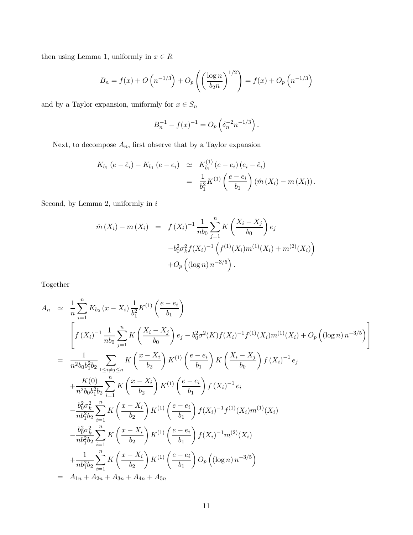then using Lemma 1, uniformly in  $x\in R$ 

$$
B_n = f(x) + O\left(n^{-1/3}\right) + O_p\left(\left(\frac{\log n}{b_2 n}\right)^{1/2}\right) = f(x) + O_p\left(n^{-1/3}\right)
$$

and by a Taylor expansion, uniformly for  $x\in S_n$ 

$$
B_n^{-1} - f(x)^{-1} = O_p\left(\delta_n^{-2} n^{-1/3}\right).
$$

Next, to decompose  $A_n$ , first observe that by a Taylor expansion

$$
K_{b_1} (e - \hat{e}_i) - K_{b_1} (e - e_i) \simeq K_{b_1}^{(1)} (e - e_i) (e_i - \hat{e}_i)
$$
  
= 
$$
\frac{1}{b_1^2} K^{(1)} \left( \frac{e - e_i}{b_1} \right) (\hat{m}(X_i) - m(X_i)).
$$

Second, by Lemma 2, uniformly in  $i$ 

$$
\hat{m}(X_i) - m(X_i) = f(X_i)^{-1} \frac{1}{nb_0} \sum_{j=1}^n K\left(\frac{X_i - X_j}{b_0}\right) e_j
$$

$$
-b_0^2 \sigma_k^2 f(X_i)^{-1} \left(f^{(1)}(X_i) m^{(1)}(X_i) + m^{(2)}(X_i)\right)
$$

$$
+ O_p\left((\log n) n^{-3/5}\right).
$$

Together

$$
A_n \simeq \frac{1}{n} \sum_{i=1}^n K_{b_2} (x - X_i) \frac{1}{b_1^2} K^{(1)} \left( \frac{e - e_i}{b_1} \right)
$$
  
\n
$$
\left[ f(X_i)^{-1} \frac{1}{nb_0} \sum_{j=1}^n K \left( \frac{X_i - X_j}{b_0} \right) e_j - b_0^2 \sigma^2(K) f(X_i)^{-1} f^{(1)}(X_i) m^{(1)}(X_i) + O_p \left( (\log n) n^{-3/5} \right) \right]
$$
  
\n
$$
= \frac{1}{n^2 b_0 b_1^2 b_2} \sum_{1 \le i \ne j \le n} K \left( \frac{x - X_i}{b_2} \right) K^{(1)} \left( \frac{e - e_i}{b_1} \right) K \left( \frac{X_i - X_j}{b_0} \right) f(X_i)^{-1} e_j
$$
  
\n
$$
+ \frac{K(0)}{n^2 b_0 b_1^2 b_2} \sum_{i=1}^n K \left( \frac{x - X_i}{b_2} \right) K^{(1)} \left( \frac{e - e_i}{b_1} \right) f(X_i)^{-1} e_i
$$
  
\n
$$
- \frac{b_0^2 \sigma_k^2}{nb_1^2 b_2} \sum_{i=1}^n K \left( \frac{x - X_i}{b_2} \right) K^{(1)} \left( \frac{e - e_i}{b_1} \right) f(X_i)^{-1} f^{(1)}(X_i) m^{(1)}(X_i)
$$
  
\n
$$
- \frac{b_0^2 \sigma_k^2}{nb_1^2 b_2} \sum_{i=1}^n K \left( \frac{x - X_i}{b_2} \right) K^{(1)} \left( \frac{e - e_i}{b_1} \right) f(X_i)^{-1} m^{(2)}(X_i)
$$
  
\n
$$
+ \frac{1}{nb_1^2 b_2} \sum_{i=1}^n K \left( \frac{x - X_i}{b_2} \right) K^{(1)} \left( \frac{e - e_i}{b_1} \right) O_p \left( (\log n) n^{-3/5} \right)
$$
  
\n
$$
= A_{1n} + A_{2n} + A_{3n} + A_{4n} + A_{5n}
$$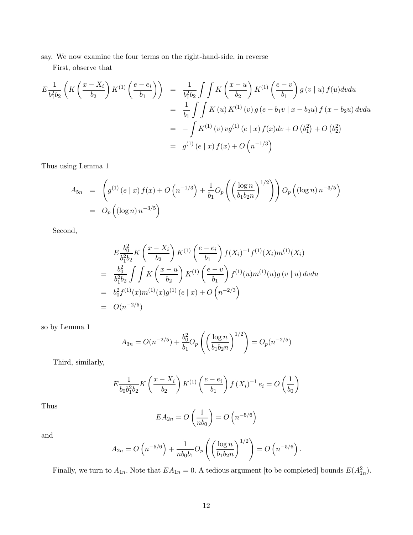say. We now examine the four terms on the right-hand-side, in reverse

First, observe that

$$
E\frac{1}{b_1^2b_2} \left( K \left( \frac{x - X_i}{b_2} \right) K^{(1)} \left( \frac{e - e_i}{b_1} \right) \right) = \frac{1}{b_1^2b_2} \int \int K \left( \frac{x - u}{b_2} \right) K^{(1)} \left( \frac{e - v}{b_1} \right) g \left( v \mid u \right) f(u) dv du
$$
  

$$
= \frac{1}{b_1} \int \int K \left( u \right) K^{(1)} \left( v \right) g \left( e - b_1 v \mid x - b_2 u \right) f \left( x - b_2 u \right) dv du
$$
  

$$
= - \int K^{(1)} \left( v \right) v g^{(1)} \left( e \mid x \right) f(x) dv + O \left( b_1^2 \right) + O \left( b_2^2 \right)
$$
  

$$
= g^{(1)} \left( e \mid x \right) f(x) + O \left( n^{-1/3} \right)
$$

Thus using Lemma 1

$$
A_{5n} = \left( g^{(1)} (e \mid x) f(x) + O \left( n^{-1/3} \right) + \frac{1}{b_1} O_p \left( \left( \frac{\log n}{b_1 b_2 n} \right)^{1/2} \right) \right) O_p \left( (\log n) n^{-3/5} \right)
$$
  
=  $O_p \left( (\log n) n^{-3/5} \right)$ 

Second,

$$
E \frac{b_0^2}{b_1^2 b_2} K \left( \frac{x - X_i}{b_2} \right) K^{(1)} \left( \frac{e - e_i}{b_1} \right) f(X_i)^{-1} f^{(1)}(X_i) m^{(1)}(X_i)
$$
  
= 
$$
\frac{b_0^2}{b_1^2 b_2} \int \int K \left( \frac{x - u}{b_2} \right) K^{(1)} \left( \frac{e - v}{b_1} \right) f^{(1)}(u) m^{(1)}(u) g(v \mid u) dv du
$$
  
= 
$$
b_0^2 f^{(1)}(x) m^{(1)}(x) g^{(1)}(e \mid x) + O \left( n^{-2/3} \right)
$$
  
= 
$$
O(n^{-2/5})
$$

so by Lemma 1

$$
A_{3n} = O(n^{-2/5}) + \frac{b_0^2}{b_1} O_p\left(\left(\frac{\log n}{b_1 b_2 n}\right)^{1/2}\right) = O_p(n^{-2/5})
$$

Third, similarly,

$$
E \frac{1}{b_0 b_1^2 b_2} K \left( \frac{x - X_i}{b_2} \right) K^{(1)} \left( \frac{e - e_i}{b_1} \right) f(X_i)^{-1} e_i = O \left( \frac{1}{b_0} \right)
$$

Thus

$$
EA_{2n} = O\left(\frac{1}{nb_0}\right) = O\left(n^{-5/6}\right)
$$

and

$$
A_{2n} = O\left(n^{-5/6}\right) + \frac{1}{nb_0b_1}O_p\left(\left(\frac{\log n}{b_1b_2n}\right)^{1/2}\right) = O\left(n^{-5/6}\right).
$$

Finally, we turn to  $A_{1n}$ . Note that  $EA_{1n} = 0$ . A tedious argument [to be completed] bounds  $E(A_{1n}^2)$ .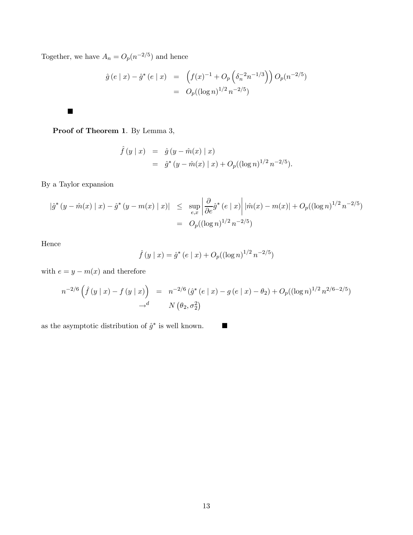Together, we have  $A_n = O_p(n^{-2/5})$  and hence

$$
\hat{g}(e \mid x) - \hat{g}^*(e \mid x) = \left( f(x)^{-1} + O_p\left(\delta_n^{-2} n^{-1/3}\right) \right) O_p(n^{-2/5})
$$

$$
= O_p((\log n)^{1/2} n^{-2/5})
$$

Proof of Theorem 1. By Lemma 3,

$$
\hat{f}(y \mid x) = \hat{g}(y - \hat{m}(x) \mid x) \n= \hat{g}^*(y - \hat{m}(x) \mid x) + O_p((\log n)^{1/2} n^{-2/5}).
$$

By a Taylor expansion

 $\blacksquare$ 

$$
\begin{array}{rcl} |\hat{g}^*(y - \hat{m}(x) \mid x) - \hat{g}^*(y - m(x) \mid x)| & \leq & \sup_{e,x} \left| \frac{\partial}{\partial e} \hat{g}^*(e \mid x) \right| |\hat{m}(x) - m(x)| + O_p((\log n)^{1/2} n^{-2/5}) \\ & = & O_p((\log n)^{1/2} n^{-2/5}) \end{array}
$$

Hence

$$
\hat{f}(y \mid x) = \hat{g}^*(e \mid x) + O_p((\log n)^{1/2} n^{-2/5})
$$

with  $e = y - m(x)$  and therefore

$$
n^{-2/6} \left( \hat{f}(y \mid x) - f(y \mid x) \right) = n^{-2/6} \left( \hat{g}^*(e \mid x) - g(e \mid x) - \theta_2 \right) + O_p((\log n)^{1/2} n^{2/6 - 2/5})
$$
  

$$
\rightarrow^d \qquad N \left( \theta_2, \sigma_2^2 \right)
$$

as the asymptotic distribution of  $\hat{g}^*$  is well known. ■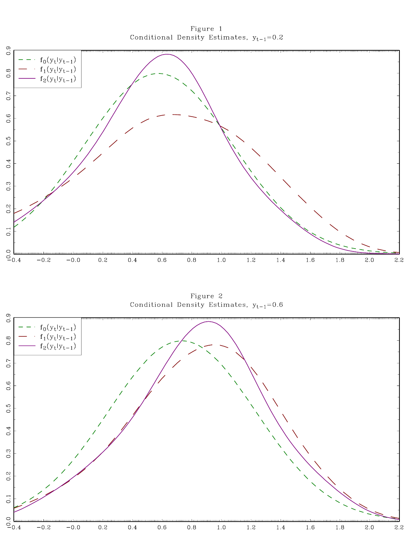

Figure 1 Conditional Density Estimates,  $y_{t-1}=0.2$ 

Figure 2 Conditional Density Estimates,  $y_{t-1}=0.6$ 

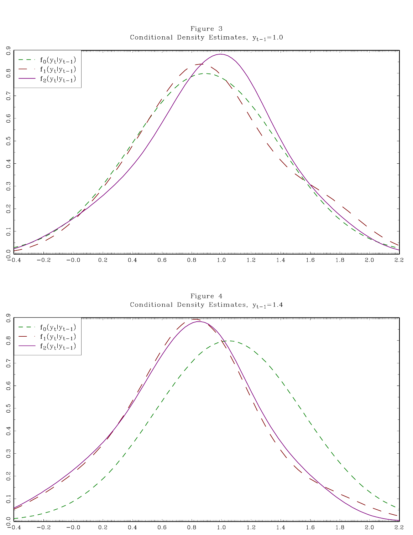Figure 3 Conditional Density Estimates,  $y_{t-1}=1.0$ 



Figure 4 Conditional Density Estimates,  $y_{t-1} = 1.4$ 

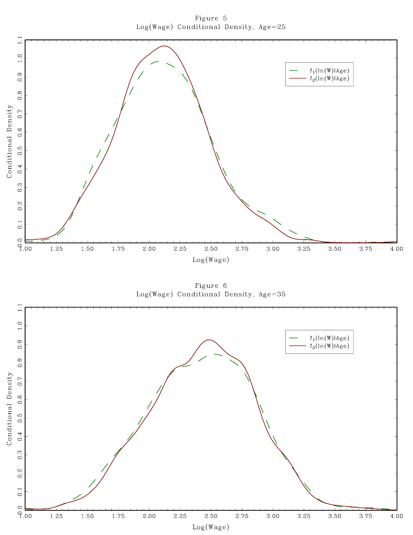Figure 5 Log(Wage) Conditional Density, Age=25



Figure 6  $Log(Wage)$  Conditional Density, Age=35